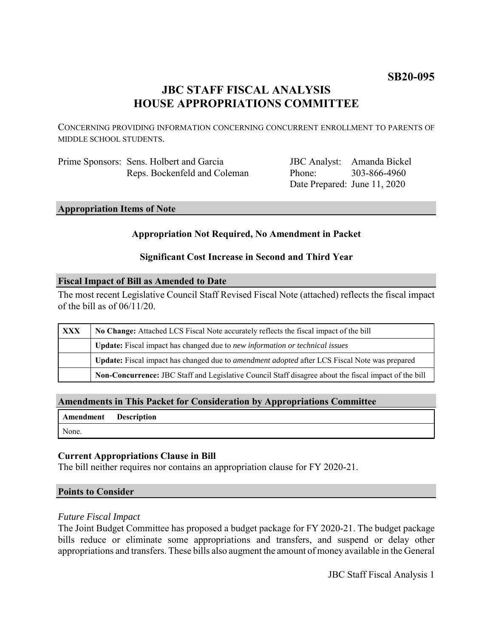# **SB20-095**

# **JBC STAFF FISCAL ANALYSIS HOUSE APPROPRIATIONS COMMITTEE**

CONCERNING PROVIDING INFORMATION CONCERNING CONCURRENT ENROLLMENT TO PARENTS OF MIDDLE SCHOOL STUDENTS.

| Prime Sponsors: Sens. Holbert and Garcia |
|------------------------------------------|
| Reps. Bockenfeld and Coleman             |

JBC Analyst: Amanda Bickel Phone: Date Prepared: June 11, 2020 303-866-4960

## **Appropriation Items of Note**

## **Appropriation Not Required, No Amendment in Packet**

## **Significant Cost Increase in Second and Third Year**

#### **Fiscal Impact of Bill as Amended to Date**

The most recent Legislative Council Staff Revised Fiscal Note (attached) reflects the fiscal impact of the bill as of 06/11/20.

| <b>XXX</b> | No Change: Attached LCS Fiscal Note accurately reflects the fiscal impact of the bill                 |  |
|------------|-------------------------------------------------------------------------------------------------------|--|
|            | <b>Update:</b> Fiscal impact has changed due to new information or technical issues                   |  |
|            | Update: Fiscal impact has changed due to <i>amendment adopted</i> after LCS Fiscal Note was prepared  |  |
|            | Non-Concurrence: JBC Staff and Legislative Council Staff disagree about the fiscal impact of the bill |  |

## **Amendments in This Packet for Consideration by Appropriations Committee**

| Amendment Description |  |
|-----------------------|--|
| None.                 |  |

## **Current Appropriations Clause in Bill**

The bill neither requires nor contains an appropriation clause for FY 2020-21.

#### **Points to Consider**

#### *Future Fiscal Impact*

The Joint Budget Committee has proposed a budget package for FY 2020-21. The budget package bills reduce or eliminate some appropriations and transfers, and suspend or delay other appropriations and transfers. These bills also augment the amount of money available in the General